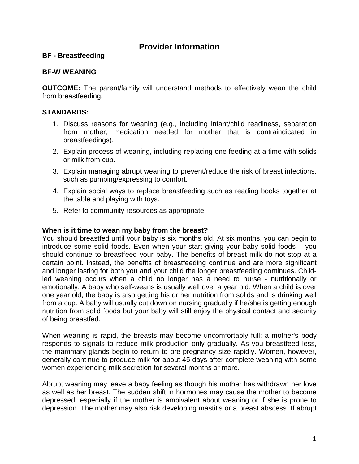# **Provider Information**

## **BF - Breastfeeding**

### **BF-W WEANING**

**OUTCOME:** The parent/family will understand methods to effectively wean the child from breastfeeding.

# **STANDARDS:**

- 1. Discuss reasons for weaning (e.g., including infant/child readiness, separation from mother, medication needed for mother that is contraindicated in breastfeedings).
- 2. Explain process of weaning, including replacing one feeding at a time with solids or milk from cup.
- 3. Explain managing abrupt weaning to prevent/reduce the risk of breast infections, such as pumping/expressing to comfort.
- 4. Explain social ways to replace breastfeeding such as reading books together at the table and playing with toys.
- 5. Refer to community resources as appropriate.

### **When is it time to wean my baby from the breast?**

You should breastfed until your baby is six months old. At six months, you can begin to introduce some solid foods. Even when your start giving your baby solid foods – you should continue to breastfeed your baby. The benefits of breast milk do not stop at a certain point. Instead, the benefits of breastfeeding continue and are more significant and longer lasting for both you and your child the longer breastfeeding continues. Childled weaning occurs when a child no longer has a need to nurse - nutritionally or emotionally. A baby who self-weans is usually well over a year old. When a child is over one year old, the baby is also getting his or her nutrition from solids and is drinking well from a cup. A baby will usually cut down on nursing gradually if he/she is getting enough nutrition from solid foods but your baby will still enjoy the physical contact and security of being breastfed.

When weaning is rapid, the breasts may become uncomfortably full; a mother's body responds to signals to reduce milk production only gradually. As you breastfeed less, the mammary glands begin to return to pre-pregnancy size rapidly. Women, however, generally continue to produce milk for about 45 days after complete weaning with some women experiencing milk secretion for several months or more.

Abrupt weaning may leave a baby feeling as though his mother has withdrawn her love as well as her breast. The sudden shift in hormones may cause the mother to become depressed, especially if the mother is ambivalent about weaning or if she is prone to depression. The mother may also risk developing mastitis or a breast abscess. If abrupt